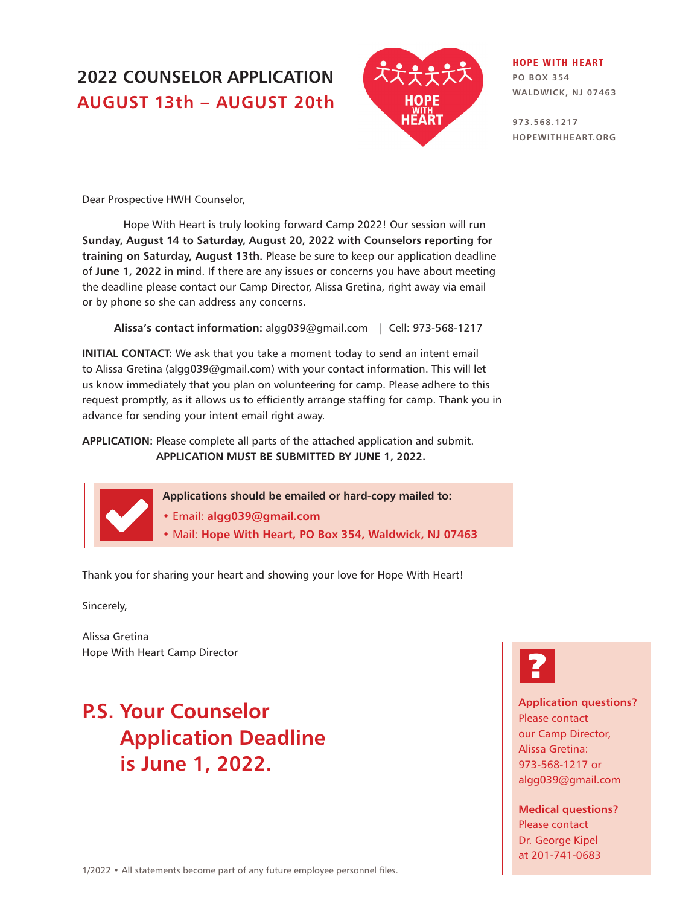## **2022 COUNSELOR APPLICATION AUGUST 13th – AUGUST 20th**



#### HOPE WITH HEART

**PO BOX 354 WALDWICK, NJ 07463**

**973.568.1217 HOPEWITHHEART.ORG**

Dear Prospective HWH Counselor,

Hope With Heart is truly looking forward Camp 2022! Our session will run **Sunday, August 14 to Saturday, August 20, 2022 with Counselors reporting for training on Saturday, August 13th.** Please be sure to keep our application deadline of **June 1, 2022** in mind. If there are any issues or concerns you have about meeting the deadline please contact our Camp Director, Alissa Gretina, right away via email or by phone so she can address any concerns.

**Alissa's contact information:** algg039@gmail.com | Cell: 973-568-1217

**INITIAL CONTACT:** We ask that you take a moment today to send an intent email to Alissa Gretina (algg039@gmail.com) with your contact information. This will let us know immediately that you plan on volunteering for camp. Please adhere to this request promptly, as it allows us to efficiently arrange staffing for camp. Thank you in advance for sending your intent email right away.

**APPLICATION:** Please complete all parts of the attached application and submit. **APPLICATION MUST BE SUBMITTED BY JUNE 1, 2022.**

**Applications should be emailed or hard-copy mailed to:**

**•** Email: **algg039@gmail.com**

• Mail: **Hope With Heart, PO Box 354, Waldwick, NJ 07463**

Thank you for sharing your heart and showing your love for Hope With Heart!

Sincerely,

Alissa Gretina Hope With Heart Camp Director

# **P.S. Your Counselor Application Deadline is June 1, 2022.**



**Application questions?**  Please contact our Camp Director, Alissa Gretina: 973-568-1217 or algg039@gmail.com

**Medical questions?**  Please contact Dr. George Kipel at 201-741-0683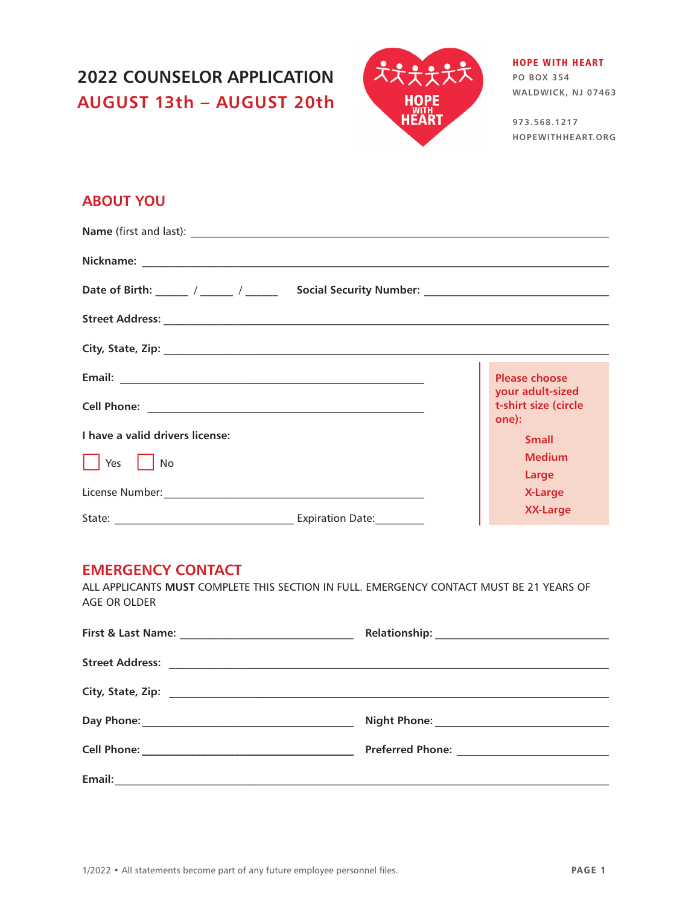## **2022 COUNSELOR APPLICATION AUGUST 13th – AUGUST 20th**



#### HOPE WITH HEART

**PO BOX 354 WALDWICK, NJ 07463**

**973.568.1217 HOPEWITHHEART.ORG**

### **ABOUT YOU**

|                                 | <b>Please choose</b>                              |
|---------------------------------|---------------------------------------------------|
|                                 | your adult-sized<br>t-shirt size (circle<br>one): |
| I have a valid drivers license: | <b>Small</b>                                      |
| Yes<br>No                       | <b>Medium</b>                                     |
|                                 | Large<br><b>X-Large</b>                           |
|                                 | <b>XX-Large</b>                                   |

#### **EMERGENCY CONTACT**

ALL APPLICANTS **MUST** COMPLETE THIS SECTION IN FULL. EMERGENCY CONTACT MUST BE 21 YEARS OF AGE OR OLDER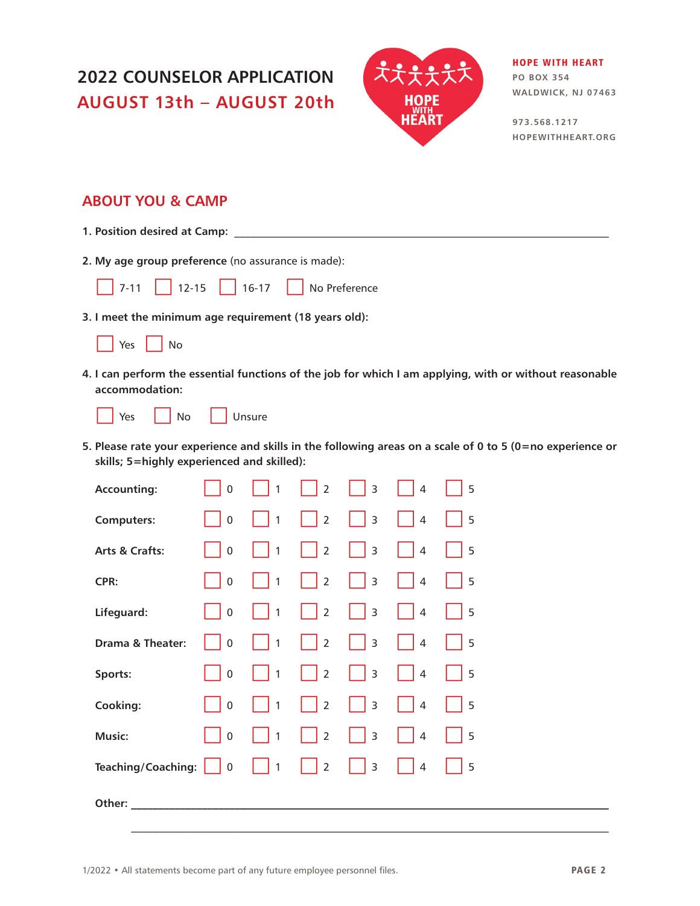## **2022 COUNSELOR APPLICATION AUGUST 13th – AUGUST 20th**



#### HOPE WITH HEART

**PO BOX 354 WALDWICK, NJ 07463**

**973.568.1217 HOPEWITHHEART.ORG**

### **ABOUT YOU & CAMP**

- **1. Position desired at Camp:** \_\_\_\_\_\_\_\_\_\_\_\_\_\_\_\_\_\_\_\_\_\_\_\_\_\_\_\_\_\_\_\_\_\_\_\_\_\_\_\_\_\_\_\_\_\_\_\_\_\_\_\_\_\_\_\_\_\_\_\_\_\_\_\_\_\_\_\_\_
- **2. My age group preference** (no assurance is made):

7-11 12-15 16-17 No Preference

**3. I meet the minimum age requirement (18 years old):**

|  | $\sim$<br>. . |  | ۱n<br>т |
|--|---------------|--|---------|
|--|---------------|--|---------|

**4. I can perform the essential functions of the job for which I am applying, with or without reasonable accommodation:**

|  |  | Unsure |
|--|--|--------|
|--|--|--------|

**5. Please rate your experience and skills in the following areas on a scale of 0 to 5 (0=no experience or skills; 5=highly experienced and skilled):**

| <b>Accounting:</b>                                        | $\mathbf 0$ | $\overline{1}$ | $\overline{2}$ | $\overline{3}$           | $\overline{4}$                                  | 5         |  |  |
|-----------------------------------------------------------|-------------|----------------|----------------|--------------------------|-------------------------------------------------|-----------|--|--|
| <b>Computers:</b>                                         | $\pmb{0}$   | $\overline{1}$ | $\overline{2}$ | $\mathsf 3$              | $\overline{4}$                                  | 5         |  |  |
| <b>Arts &amp; Crafts:</b>                                 | $\pmb{0}$   | $\overline{1}$ | $\binom{1}{2}$ | $\overline{\mathbf{3}}$  | 4                                               | 5         |  |  |
| CPR:                                                      | $\mathbf 0$ | $\overline{1}$ | $\vert$ 2      | $\overline{\mathbf{3}}$  | 4                                               | $\vert$ 5 |  |  |
| Lifeguard:                                                | $\mathbf 0$ | $\overline{1}$ | $\vert$ 2      | $\overline{\mathbf{3}}$  | $\begin{array}{ c c c c c } \hline \end{array}$ | $\vert$ 5 |  |  |
| Drama & Theater:                                          | $\mathbf 0$ | $\overline{1}$ | $\binom{1}{2}$ | $\overline{\phantom{a}}$ | 4                                               | 5         |  |  |
| Sports:                                                   | $\mathbf 0$ | $\overline{1}$ | $\binom{1}{2}$ | $\overline{\mathbf{3}}$  | $\overline{4}$                                  | 5         |  |  |
| Cooking:                                                  | $\mathbf 0$ | $\sqrt{1}$     | $\vert$ 2      | $\overline{\mathbf{3}}$  | 4                                               | $\vert$ 5 |  |  |
| Music:                                                    | $\mathbf 0$ | $\overline{1}$ | $\overline{2}$ | $\overline{3}$           | $\overline{4}$                                  | 5         |  |  |
| Teaching/Coaching: $\begin{bmatrix} 0 \\ 0 \end{bmatrix}$ |             | $^{\circ}$ 1   | $\binom{1}{2}$ | $\overline{\mathbf{3}}$  | $\overline{4}$                                  | 5         |  |  |
| Other:                                                    |             |                |                |                          |                                                 |           |  |  |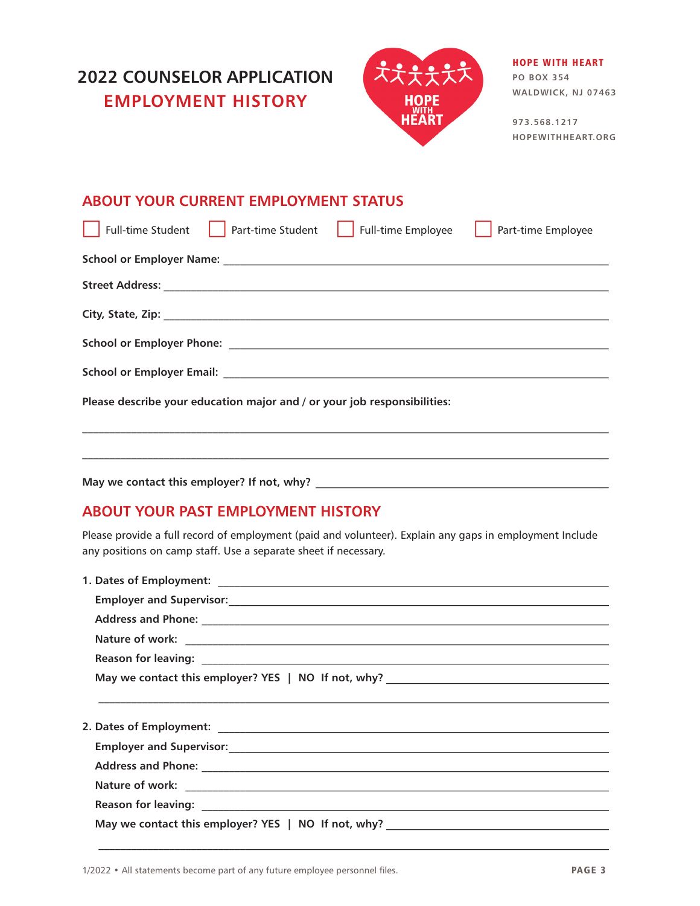



### HOPE WITH HEART

**PO BOX 354 WALDWICK, NJ 07463**

**973.568.1217 HOPEWITHHEART.ORG**

### **ABOUT YOUR CURRENT EMPLOYMENT STATUS**

|                                                                          | Full-time Student   Part-time Student | $\vert$ Full-time Employee | Part-time Employee |
|--------------------------------------------------------------------------|---------------------------------------|----------------------------|--------------------|
|                                                                          |                                       |                            |                    |
|                                                                          |                                       |                            |                    |
|                                                                          |                                       |                            |                    |
|                                                                          |                                       |                            |                    |
|                                                                          |                                       |                            |                    |
| Please describe your education major and / or your job responsibilities: |                                       |                            |                    |
|                                                                          |                                       |                            |                    |

**May we contact this employer? If not, why?** \_\_\_\_\_\_\_\_\_\_\_\_\_\_\_\_\_\_\_\_\_\_\_\_\_\_\_\_\_\_\_\_\_\_\_\_\_\_\_\_\_\_\_\_\_\_\_\_\_\_\_\_\_\_

### **ABOUT YOUR PAST EMPLOYMENT HISTORY**

Please provide a full record of employment (paid and volunteer). Explain any gaps in employment Include any positions on camp staff. Use a separate sheet if necessary.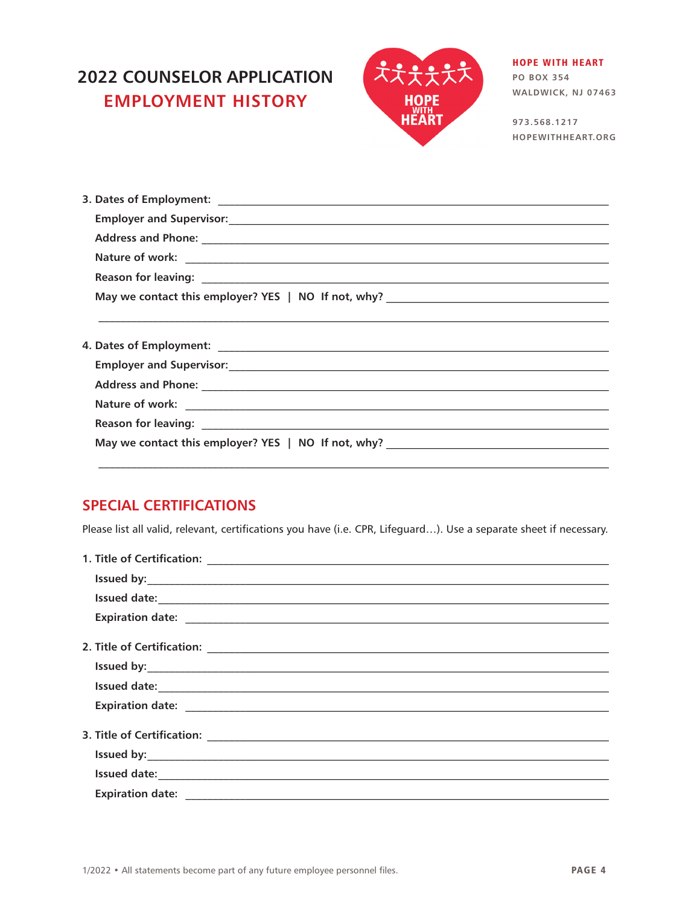## **2022 COUNSELOR APPLICATION EMPLOYMENT HISTORY**



#### **HOPE WITH HEART**

**PO BOX 354** WALDWICK, NJ 07463

973.568.1217 HOPEWITHHEART.ORG

### **SPECIAL CERTIFICATIONS**

Please list all valid, relevant, certifications you have (i.e. CPR, Lifeguard...). Use a separate sheet if necessary.

| Issued date: <u>continuous contractor</u> and the set of the set of the set of the set of the set of the set of the set of the set of the set of the set of the set of the set of the set of the set of the set of the set of the s |
|-------------------------------------------------------------------------------------------------------------------------------------------------------------------------------------------------------------------------------------|
| Expiration date: expiration date:                                                                                                                                                                                                   |
|                                                                                                                                                                                                                                     |
|                                                                                                                                                                                                                                     |
|                                                                                                                                                                                                                                     |
|                                                                                                                                                                                                                                     |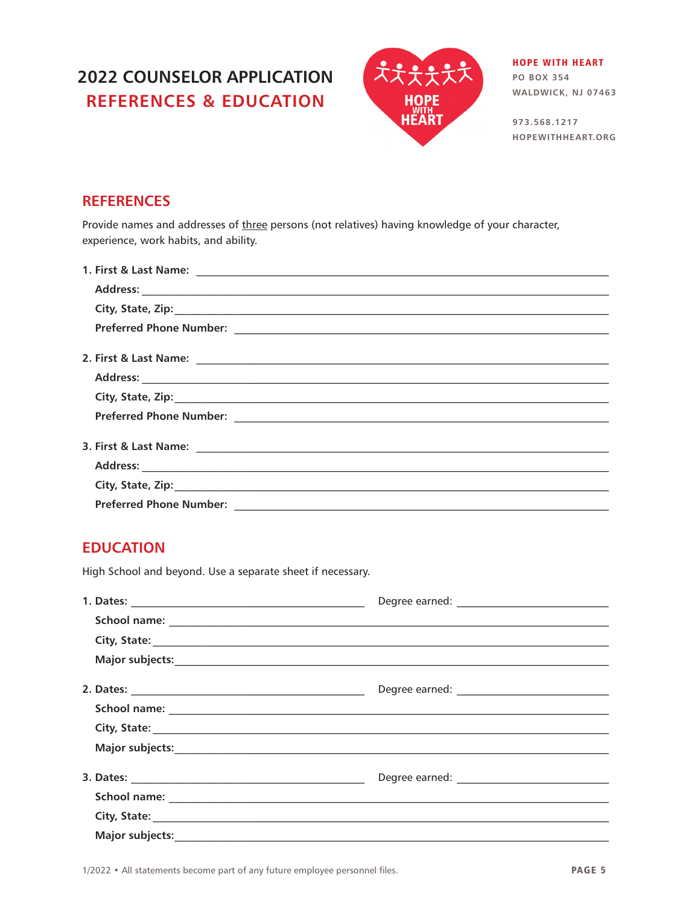## **2022 COUNSELOR APPLICATION REFERENCES & EDUCATION**



**HOPE WITH HEART PO BOX 354** WALDWICK, NJ 07463

973.568.1217 HOPEWITHHEART.ORG

### **REFERENCES**

Provide names and addresses of three persons (not relatives) having knowledge of your character, experience, work habits, and ability.

| <b>Preferred Phone Number:</b> |  |
|--------------------------------|--|

### **EDUCATION**

High School and beyond. Use a separate sheet if necessary.

| City, State: <u>Communications</u> |  |
|------------------------------------|--|
|                                    |  |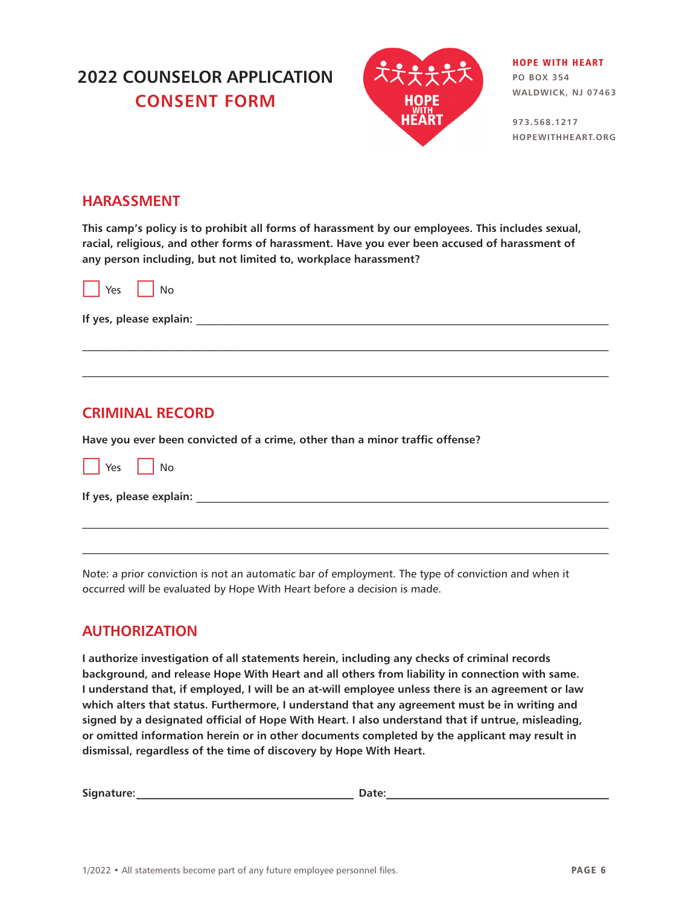## **2022 COUNSELOR APPLICATION CONSENT FORM**



HOPE WITH HEART **PO BOX 354 WALDWICK, NJ 07463**

**973.568.1217 HOPEWITHHEART.ORG**

#### **HARASSMENT**

**This camp's policy is to prohibit all forms of harassment by our employees. This includes sexual, racial, religious, and other forms of harassment. Have you ever been accused of harassment of any person including, but not limited to, workplace harassment?**

|  | Yes |  | Nο |
|--|-----|--|----|
|--|-----|--|----|

**If yes, please explain:** \_\_\_\_\_\_\_\_\_\_\_\_\_\_\_\_\_\_\_\_\_\_\_\_\_\_\_\_\_\_\_\_\_\_\_\_\_\_\_\_\_\_\_\_\_\_\_\_\_\_\_\_\_\_\_\_\_\_\_\_\_\_\_\_\_\_\_\_\_\_\_\_\_\_\_\_

### **CRIMINAL RECORD**

**Have you ever been convicted of a crime, other than a minor traffic offense?**



**If yes, please explain:** \_\_\_\_\_\_\_\_\_\_\_\_\_\_\_\_\_\_\_\_\_\_\_\_\_\_\_\_\_\_\_\_\_\_\_\_\_\_\_\_\_\_\_\_\_\_\_\_\_\_\_\_\_\_\_\_\_\_\_\_\_\_\_\_\_\_\_\_\_\_\_\_\_\_\_\_

Note: a prior conviction is not an automatic bar of employment. The type of conviction and when it occurred will be evaluated by Hope With Heart before a decision is made.

 $\mathcal{L}_\mathcal{L} = \{ \mathcal{L}_\mathcal{L} = \{ \mathcal{L}_\mathcal{L} = \{ \mathcal{L}_\mathcal{L} = \{ \mathcal{L}_\mathcal{L} = \{ \mathcal{L}_\mathcal{L} = \{ \mathcal{L}_\mathcal{L} = \{ \mathcal{L}_\mathcal{L} = \{ \mathcal{L}_\mathcal{L} = \{ \mathcal{L}_\mathcal{L} = \{ \mathcal{L}_\mathcal{L} = \{ \mathcal{L}_\mathcal{L} = \{ \mathcal{L}_\mathcal{L} = \{ \mathcal{L}_\mathcal{L} = \{ \mathcal{L}_\mathcal{$ 

 $\mathcal{L}_\mathcal{L} = \{ \mathcal{L}_\mathcal{L} = \{ \mathcal{L}_\mathcal{L} = \{ \mathcal{L}_\mathcal{L} = \{ \mathcal{L}_\mathcal{L} = \{ \mathcal{L}_\mathcal{L} = \{ \mathcal{L}_\mathcal{L} = \{ \mathcal{L}_\mathcal{L} = \{ \mathcal{L}_\mathcal{L} = \{ \mathcal{L}_\mathcal{L} = \{ \mathcal{L}_\mathcal{L} = \{ \mathcal{L}_\mathcal{L} = \{ \mathcal{L}_\mathcal{L} = \{ \mathcal{L}_\mathcal{L} = \{ \mathcal{L}_\mathcal{$ 

### **AUTHORIZATION**

**I authorize investigation of all statements herein, including any checks of criminal records background, and release Hope With Heart and all others from liability in connection with same. I understand that, if employed, I will be an at-will employee unless there is an agreement or law which alters that status. Furthermore, I understand that any agreement must be in writing and signed by a designated official of Hope With Heart. I also understand that if untrue, misleading, or omitted information herein or in other documents completed by the applicant may result in dismissal, regardless of the time of discovery by Hope With Heart.** 

**Signature:\_\_\_\_\_\_\_\_\_\_\_\_\_\_\_\_\_\_\_\_\_\_\_\_\_\_\_\_\_\_\_\_\_\_\_\_\_\_\_\_ Date:\_\_\_\_\_\_\_\_\_\_\_\_\_\_\_\_\_\_\_\_\_\_\_\_\_\_\_\_\_\_\_\_\_\_\_\_\_\_\_\_\_**